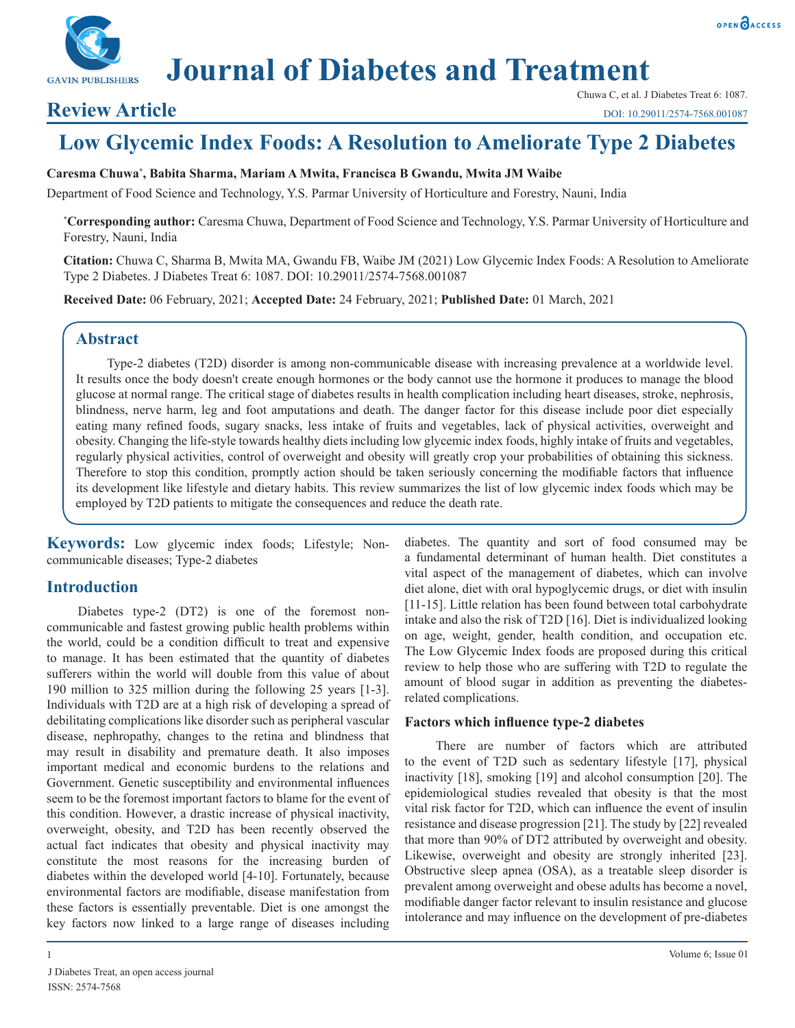

# **Journal of Diabetes and Treatment**

# **Review Article**

OPEN OACCESS

DOI: 10.29011/2574-7568.001087

# **Low Glycemic Index Foods: A Resolution to Ameliorate Type 2 Diabetes**

#### **Caresma Chuwa\* , Babita Sharma, Mariam A Mwita, Francisca B Gwandu, Mwita JM Waibe**

Department of Food Science and Technology, Y.S. Parmar University of Horticulture and Forestry, Nauni, India

**\* Corresponding author:** Caresma Chuwa, Department of Food Science and Technology, Y.S. Parmar University of Horticulture and Forestry, Nauni, India

**Citation:** Chuwa C, Sharma B, Mwita MA, Gwandu FB, Waibe JM (2021) Low Glycemic Index Foods: A Resolution to Ameliorate Type 2 Diabetes. J Diabetes Treat 6: 1087. DOI: 10.29011/2574-7568.001087

**Received Date:** 06 February, 2021; **Accepted Date:** 24 February, 2021; **Published Date:** 01 March, 2021

#### **Abstract**

Type-2 diabetes (T2D) disorder is among non-communicable disease with increasing prevalence at a worldwide level. It results once the body doesn't create enough hormones or the body cannot use the hormone it produces to manage the blood glucose at normal range. The critical stage of diabetes results in health complication including heart diseases, stroke, nephrosis, blindness, nerve harm, leg and foot amputations and death. The danger factor for this disease include poor diet especially eating many refined foods, sugary snacks, less intake of fruits and vegetables, lack of physical activities, overweight and obesity. Changing the life-style towards healthy diets including low glycemic index foods, highly intake of fruits and vegetables, regularly physical activities, control of overweight and obesity will greatly crop your probabilities of obtaining this sickness. Therefore to stop this condition, promptly action should be taken seriously concerning the modifiable factors that influence its development like lifestyle and dietary habits. This review summarizes the list of low glycemic index foods which may be employed by T2D patients to mitigate the consequences and reduce the death rate.

**Keywords:** Low glycemic index foods; Lifestyle; Noncommunicable diseases; Type-2 diabetes

### **Introduction**

Diabetes type-2 (DT2) is one of the foremost noncommunicable and fastest growing public health problems within the world, could be a condition difficult to treat and expensive to manage. It has been estimated that the quantity of diabetes sufferers within the world will double from this value of about 190 million to 325 million during the following 25 years [1-3]. Individuals with T2D are at a high risk of developing a spread of debilitating complications like disorder such as peripheral vascular disease, nephropathy, changes to the retina and blindness that may result in disability and premature death. It also imposes important medical and economic burdens to the relations and Government. Genetic susceptibility and environmental influences seem to be the foremost important factors to blame for the event of this condition. However, a drastic increase of physical inactivity, overweight, obesity, and T2D has been recently observed the actual fact indicates that obesity and physical inactivity may constitute the most reasons for the increasing burden of diabetes within the developed world [4-10]. Fortunately, because environmental factors are modifiable, disease manifestation from these factors is essentially preventable. Diet is one amongst the key factors now linked to a large range of diseases including

diabetes. The quantity and sort of food consumed may be a fundamental determinant of human health. Diet constitutes a vital aspect of the management of diabetes, which can involve diet alone, diet with oral hypoglycemic drugs, or diet with insulin [11-15]. Little relation has been found between total carbohydrate intake and also the risk of T2D [16]. Diet is individualized looking on age, weight, gender, health condition, and occupation etc. The Low Glycemic Index foods are proposed during this critical review to help those who are suffering with T2D to regulate the amount of blood sugar in addition as preventing the diabetesrelated complications.

#### **Factors which influence type-2 diabetes**

There are number of factors which are attributed to the event of T2D such as sedentary lifestyle [17], physical inactivity [18], smoking [19] and alcohol consumption [20]. The epidemiological studies revealed that obesity is that the most vital risk factor for T2D, which can influence the event of insulin resistance and disease progression [21]. The study by [22] revealed that more than 90% of DT2 attributed by overweight and obesity. Likewise, overweight and obesity are strongly inherited [23]. Obstructive sleep apnea (OSA), as a treatable sleep disorder is prevalent among overweight and obese adults has become a novel, modifiable danger factor relevant to insulin resistance and glucose intolerance and may influence on the development of pre-diabetes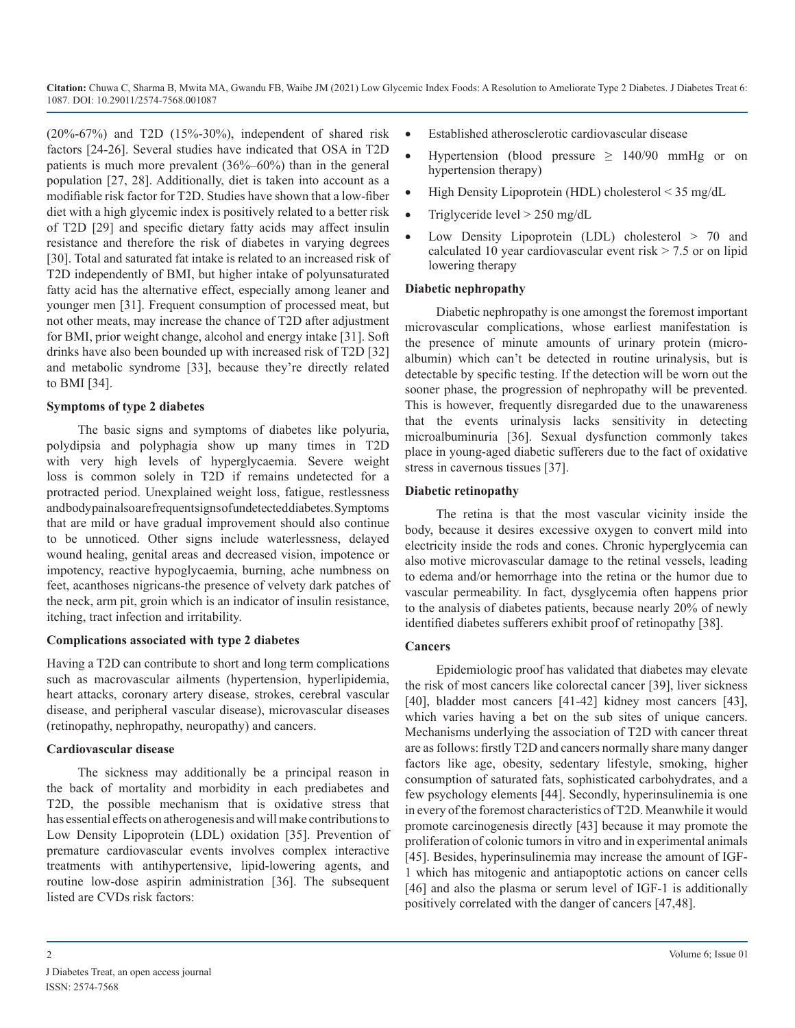(20%-67%) and T2D (15%-30%), independent of shared risk factors [24-26]. Several studies have indicated that OSA in T2D patients is much more prevalent (36%–60%) than in the general population [27, 28]. Additionally, diet is taken into account as a modifiable risk factor for T2D. Studies have shown that a low-fiber diet with a high glycemic index is positively related to a better risk of T2D [29] and specific dietary fatty acids may affect insulin resistance and therefore the risk of diabetes in varying degrees [30]. Total and saturated fat intake is related to an increased risk of T2D independently of BMI, but higher intake of polyunsaturated fatty acid has the alternative effect, especially among leaner and younger men [31]. Frequent consumption of processed meat, but not other meats, may increase the chance of T2D after adjustment for BMI, prior weight change, alcohol and energy intake [31]. Soft drinks have also been bounded up with increased risk of T2D [32] and metabolic syndrome [33], because they're directly related to BMI [34].

#### **Symptoms of type 2 diabetes**

The basic signs and symptoms of diabetes like polyuria, polydipsia and polyphagia show up many times in T2D with very high levels of hyperglycaemia. Severe weight loss is common solely in T2D if remains undetected for a protracted period. Unexplained weight loss, fatigue, restlessness andbodypainalsoarefrequentsignsofundetected diabetes. Symptoms that are mild or have gradual improvement should also continue to be unnoticed. Other signs include waterlessness, delayed wound healing, genital areas and decreased vision, impotence or impotency, reactive hypoglycaemia, burning, ache numbness on feet, acanthoses nigricans-the presence of velvety dark patches of the neck, arm pit, groin which is an indicator of insulin resistance, itching, tract infection and irritability.

#### **Complications associated with type 2 diabetes**

Having a T2D can contribute to short and long term complications such as macrovascular ailments (hypertension, hyperlipidemia, heart attacks, coronary artery disease, strokes, cerebral vascular disease, and peripheral vascular disease), microvascular diseases (retinopathy, nephropathy, neuropathy) and cancers.

#### **Cardiovascular disease**

The sickness may additionally be a principal reason in the back of mortality and morbidity in each prediabetes and T2D, the possible mechanism that is oxidative stress that has essential effects on atherogenesis and will make contributions to Low Density Lipoprotein (LDL) oxidation [35]. Prevention of premature cardiovascular events involves complex interactive treatments with antihypertensive, lipid-lowering agents, and routine low-dose aspirin administration [36]. The subsequent listed are CVDs risk factors:

- Established atherosclerotic cardiovascular disease
- Hypertension (blood pressure  $\geq$  140/90 mmHg or on hypertension therapy)
- High Density Lipoprotein (HDL) cholesterol  $\leq$  35 mg/dL
- Triglyceride level  $> 250$  mg/dL
- Low Density Lipoprotein (LDL) cholesterol  $> 70$  and calculated 10 year cardiovascular event risk  $> 7.5$  or on lipid lowering therapy

#### **Diabetic nephropathy**

Diabetic nephropathy is one amongst the foremost important microvascular complications, whose earliest manifestation is the presence of minute amounts of urinary protein (microalbumin) which can't be detected in routine urinalysis, but is detectable by specific testing. If the detection will be worn out the sooner phase, the progression of nephropathy will be prevented. This is however, frequently disregarded due to the unawareness that the events urinalysis lacks sensitivity in detecting microalbuminuria [36]. Sexual dysfunction commonly takes place in young-aged diabetic sufferers due to the fact of oxidative stress in cavernous tissues [37].

#### **Diabetic retinopathy**

The retina is that the most vascular vicinity inside the body, because it desires excessive oxygen to convert mild into electricity inside the rods and cones. Chronic hyperglycemia can also motive microvascular damage to the retinal vessels, leading to edema and/or hemorrhage into the retina or the humor due to vascular permeability. In fact, dysglycemia often happens prior to the analysis of diabetes patients, because nearly 20% of newly identified diabetes sufferers exhibit proof of retinopathy [38].

#### **Cancers**

Epidemiologic proof has validated that diabetes may elevate the risk of most cancers like colorectal cancer [39], liver sickness [40], bladder most cancers [41-42] kidney most cancers [43], which varies having a bet on the sub sites of unique cancers. Mechanisms underlying the association of T2D with cancer threat are as follows: firstly T2D and cancers normally share many danger factors like age, obesity, sedentary lifestyle, smoking, higher consumption of saturated fats, sophisticated carbohydrates, and a few psychology elements [44]. Secondly, hyperinsulinemia is one in every of the foremost characteristics of T2D. Meanwhile it would promote carcinogenesis directly [43] because it may promote the proliferation of colonic tumors in vitro and in experimental animals [45]. Besides, hyperinsulinemia may increase the amount of IGF-1 which has mitogenic and antiapoptotic actions on cancer cells [46] and also the plasma or serum level of IGF-1 is additionally positively correlated with the danger of cancers [47,48].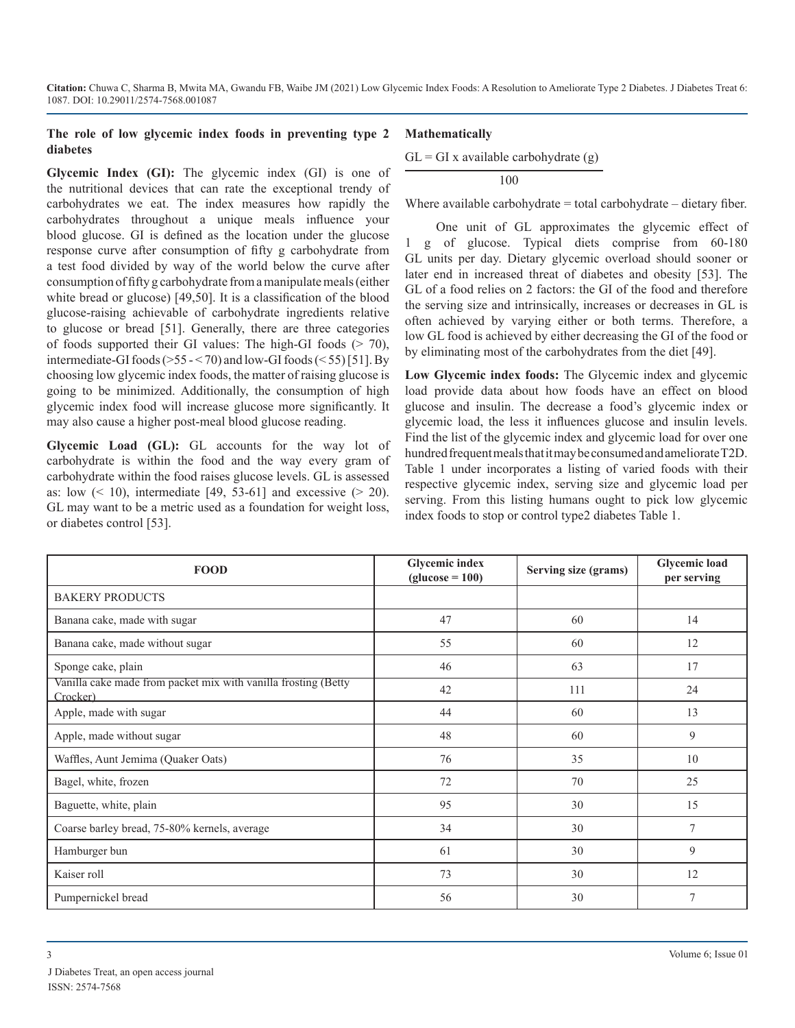#### **The role of low glycemic index foods in preventing type 2 diabetes**

**Glycemic Index (GI):** The glycemic index (GI) is one of

#### **Mathematically**

 $GL = GI$  x available carbohydrate  $(g)$ 

100

Where available carbohydrate = total carbohydrate – dietary fiber.

the nutritional devices that can rate the exceptional trendy of carbohydrates we eat. The index measures how rapidly the carbohydrates throughout a unique meals influence your blood glucose. GI is defined as the location under the glucose response curve after consumption of fifty g carbohydrate from a test food divided by way of the world below the curve after consumption of fifty g carbohydrate from a manipulate meals (either white bread or glucose) [49,50]. It is a classification of the blood glucose-raising achievable of carbohydrate ingredients relative to glucose or bread [51]. Generally, there are three categories of foods supported their GI values: The high-GI foods  $(> 70)$ , intermediate-GI foods ( $>55 - 70$ ) and low-GI foods ( $< 55$ ) [51]. By choosing low glycemic index foods, the matter of raising glucose is going to be minimized. Additionally, the consumption of high glycemic index food will increase glucose more significantly. It may also cause a higher post-meal blood glucose reading.

**Glycemic Load (GL):** GL accounts for the way lot of carbohydrate is within the food and the way every gram of carbohydrate within the food raises glucose levels. GL is assessed as: low  $($  10), intermediate [49, 53-61] and excessive  $($  20). GL may want to be a metric used as a foundation for weight loss, or diabetes control [53].

One unit of GL approximates the glycemic effect of 1 g of glucose. Typical diets comprise from 60-180 GL units per day. Dietary glycemic overload should sooner or later end in increased threat of diabetes and obesity [53]. The GL of a food relies on 2 factors: the GI of the food and therefore the serving size and intrinsically, increases or decreases in GL is often achieved by varying either or both terms. Therefore, a low GL food is achieved by either decreasing the GI of the food or by eliminating most of the carbohydrates from the diet [49].

**Low Glycemic index foods:** The Glycemic index and glycemic load provide data about how foods have an effect on blood glucose and insulin. The decrease a food's glycemic index or glycemic load, the less it influences glucose and insulin levels. Find the list of the glycemic index and glycemic load for over one hundred frequent meals that it may be consumed and ameliorate T2D. Table 1 under incorporates a listing of varied foods with their respective glycemic index, serving size and glycemic load per serving. From this listing humans ought to pick low glycemic index foods to stop or control type2 diabetes Table 1.

| <b>FOOD</b>                                                                | <b>Glycemic index</b><br>$glucose = 100$ | Serving size (grams) | <b>Glycemic load</b><br>per serving |
|----------------------------------------------------------------------------|------------------------------------------|----------------------|-------------------------------------|
| <b>BAKERY PRODUCTS</b>                                                     |                                          |                      |                                     |
| Banana cake, made with sugar                                               | 47                                       | 60                   | 14                                  |
| Banana cake, made without sugar                                            | 55                                       | 60                   | 12                                  |
| Sponge cake, plain                                                         | 46                                       | 63                   | 17                                  |
| Vanilla cake made from packet mix with vanilla frosting (Betty<br>Crocker) | 42                                       | 111                  | 24                                  |
| Apple, made with sugar                                                     | 44                                       | 60                   | 13                                  |
| Apple, made without sugar                                                  | 48                                       | 60                   | 9                                   |
| Waffles, Aunt Jemima (Quaker Oats)                                         | 76                                       | 35                   | 10                                  |
| Bagel, white, frozen                                                       | 72                                       | 70                   | 25                                  |
| Baguette, white, plain                                                     | 95                                       | 30                   | 15                                  |
| Coarse barley bread, 75-80% kernels, average                               | 34                                       | 30                   | 7                                   |
| Hamburger bun                                                              | 61                                       | 30                   | 9                                   |
| Kaiser roll                                                                | 73                                       | 30                   | 12                                  |
| Pumpernickel bread                                                         | 56                                       | 30                   | 7                                   |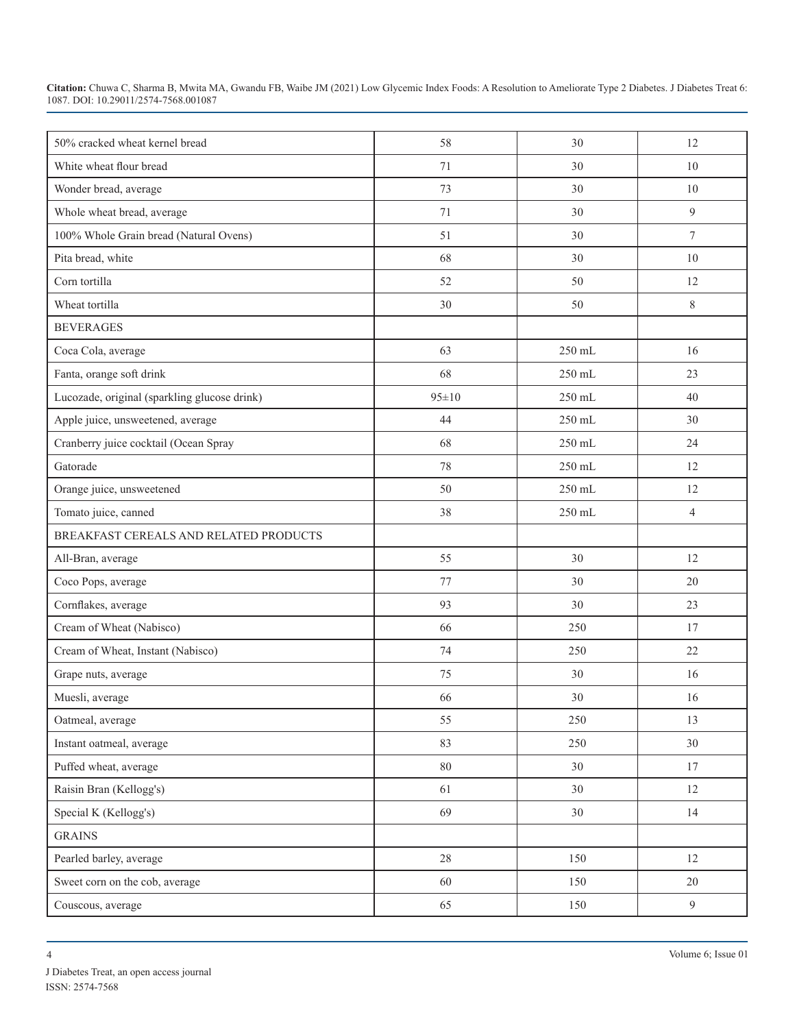| 50% cracked wheat kernel bread               | 58          | 30     | 12             |
|----------------------------------------------|-------------|--------|----------------|
| White wheat flour bread                      | 71          | 30     | 10             |
| Wonder bread, average                        | 73          | 30     | 10             |
| Whole wheat bread, average                   | 71          | 30     | 9              |
| 100% Whole Grain bread (Natural Ovens)       | 51          | 30     | $\tau$         |
| Pita bread, white                            | 68          | 30     | 10             |
| Corn tortilla                                | 52          | 50     | 12             |
| Wheat tortilla                               | 30          | 50     | 8              |
| <b>BEVERAGES</b>                             |             |        |                |
| Coca Cola, average                           | 63          | 250 mL | 16             |
| Fanta, orange soft drink                     | 68          | 250 mL | 23             |
| Lucozade, original (sparkling glucose drink) | $95 \pm 10$ | 250 mL | 40             |
| Apple juice, unsweetened, average            | 44          | 250 mL | 30             |
| Cranberry juice cocktail (Ocean Spray        | 68          | 250 mL | 24             |
| Gatorade                                     | 78          | 250 mL | 12             |
| Orange juice, unsweetened                    | 50          | 250 mL | 12             |
| Tomato juice, canned                         | 38          | 250 mL | $\overline{4}$ |
| BREAKFAST CEREALS AND RELATED PRODUCTS       |             |        |                |
| All-Bran, average                            | 55          | 30     | 12             |
| Coco Pops, average                           | 77          | 30     | 20             |
| Cornflakes, average                          | 93          | 30     | 23             |
| Cream of Wheat (Nabisco)                     | 66          | 250    | 17             |
| Cream of Wheat, Instant (Nabisco)            | 74          | 250    | 22             |
| Grape nuts, average                          | 75          | 30     | 16             |
| Muesli, average                              | 66          | 30     | 16             |
| Oatmeal, average                             | 55          | 250    | 13             |
| Instant oatmeal, average                     | 83          | 250    | 30             |
| Puffed wheat, average                        | $80\,$      | $30\,$ | 17             |
| Raisin Bran (Kellogg's)                      | 61          | $30\,$ | 12             |
| Special K (Kellogg's)                        | 69          | $30\,$ | 14             |
| <b>GRAINS</b>                                |             |        |                |
| Pearled barley, average                      | $28\,$      | 150    | 12             |
| Sweet corn on the cob, average               | 60          | 150    | 20             |
| Couscous, average                            | 65          | 150    | 9              |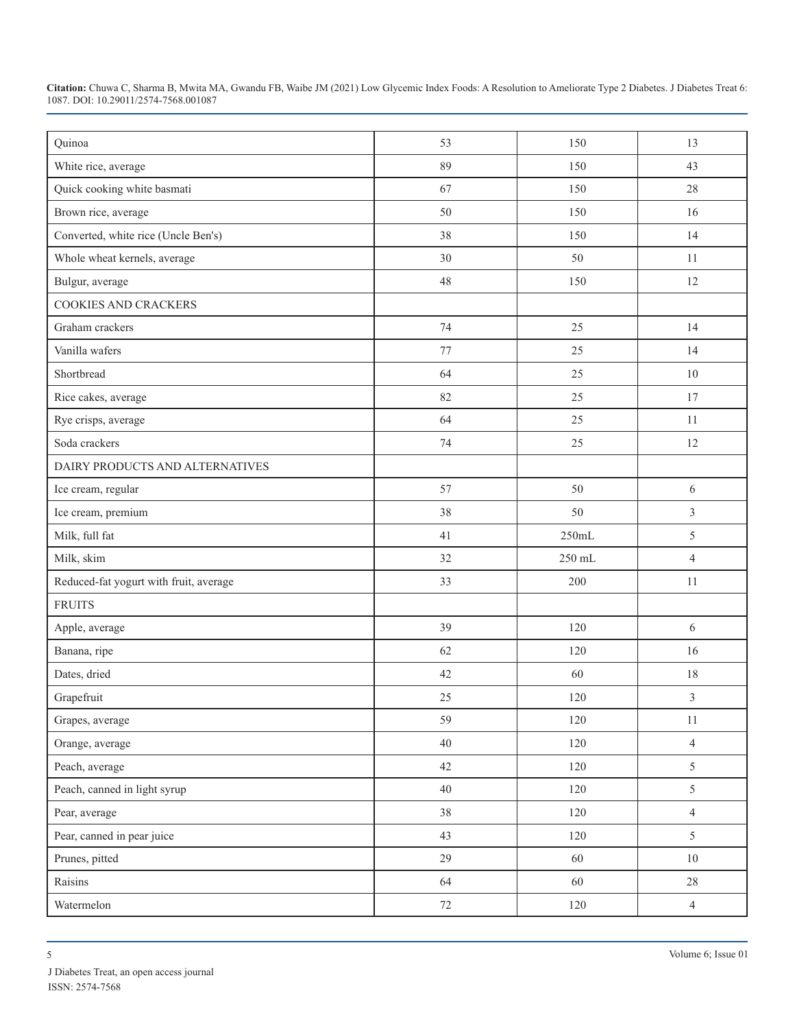| Quinoa                                 | 53     | 150    | 13             |
|----------------------------------------|--------|--------|----------------|
| White rice, average                    | 89     | 150    | 43             |
| Quick cooking white basmati            | 67     | 150    | 28             |
| Brown rice, average                    | 50     | 150    | 16             |
| Converted, white rice (Uncle Ben's)    | 38     | 150    | 14             |
| Whole wheat kernels, average           | 30     | 50     | 11             |
| Bulgur, average                        | 48     | 150    | 12             |
| <b>COOKIES AND CRACKERS</b>            |        |        |                |
| Graham crackers                        | 74     | 25     | 14             |
| Vanilla wafers                         | 77     | 25     | 14             |
| Shortbread                             | 64     | 25     | 10             |
| Rice cakes, average                    | 82     | 25     | 17             |
| Rye crisps, average                    | 64     | 25     | 11             |
| Soda crackers                          | 74     | 25     | 12             |
| DAIRY PRODUCTS AND ALTERNATIVES        |        |        |                |
| Ice cream, regular                     | 57     | 50     | $\sqrt{6}$     |
| Ice cream, premium                     | 38     | 50     | $\overline{3}$ |
| Milk, full fat                         | 41     | 250mL  | 5              |
| Milk, skim                             | 32     | 250 mL | $\overline{4}$ |
| Reduced-fat yogurt with fruit, average | 33     | 200    | 11             |
| <b>FRUITS</b>                          |        |        |                |
| Apple, average                         | 39     | 120    | 6              |
| Banana, ripe                           | 62     | 120    | 16             |
| Dates, dried                           | 42     | 60     | 18             |
| Grapefruit                             | 25     | 120    | $\overline{3}$ |
| Grapes, average                        | 59     | 120    | $11\,$         |
| Orange, average                        | $40\,$ | 120    | $\overline{4}$ |
| Peach, average                         | 42     | 120    | 5              |
| Peach, canned in light syrup           | $40\,$ | 120    | 5              |
| Pear, average                          | $38\,$ | 120    | $\overline{4}$ |
| Pear, canned in pear juice             | 43     | 120    | 5              |
| Prunes, pitted                         | 29     | 60     | $10\,$         |
| Raisins                                | 64     | 60     | 28             |
| Watermelon                             | $72\,$ | 120    | $\overline{4}$ |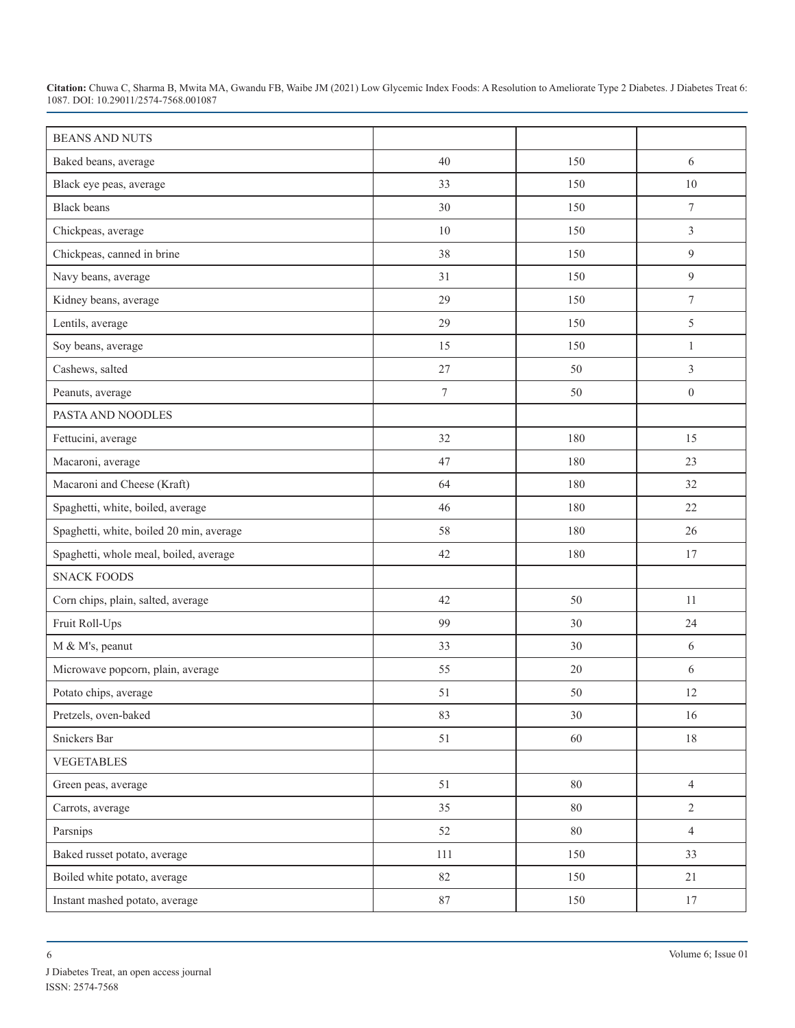| <b>BEANS AND NUTS</b>                    |                  |        |                  |
|------------------------------------------|------------------|--------|------------------|
| Baked beans, average                     | 40               | 150    | 6                |
| Black eye peas, average                  | 33               | 150    | $10\,$           |
| <b>Black</b> beans                       | 30               | 150    | $\tau$           |
| Chickpeas, average                       | 10               | 150    | $\mathfrak{Z}$   |
| Chickpeas, canned in brine               | 38               | 150    | 9                |
| Navy beans, average                      | 31               | 150    | 9                |
| Kidney beans, average                    | 29               | 150    | $\boldsymbol{7}$ |
| Lentils, average                         | 29               | 150    | 5                |
| Soy beans, average                       | 15               | 150    | $\mathbf{1}$     |
| Cashews, salted                          | 27               | 50     | $\overline{3}$   |
| Peanuts, average                         | $\boldsymbol{7}$ | 50     | $\mathbf{0}$     |
| PASTA AND NOODLES                        |                  |        |                  |
| Fettucini, average                       | 32               | 180    | 15               |
| Macaroni, average                        | 47               | 180    | 23               |
| Macaroni and Cheese (Kraft)              | 64               | 180    | 32               |
| Spaghetti, white, boiled, average        | 46               | 180    | 22               |
| Spaghetti, white, boiled 20 min, average | 58               | 180    | 26               |
| Spaghetti, whole meal, boiled, average   | 42               | 180    | 17               |
| <b>SNACK FOODS</b>                       |                  |        |                  |
| Corn chips, plain, salted, average       | 42               | 50     | 11               |
| Fruit Roll-Ups                           | 99               | 30     | 24               |
| M & M's, peanut                          | 33               | 30     | 6                |
| Microwave popcorn, plain, average        | 55               | 20     | 6                |
| Potato chips, average                    | 51               | 50     | 12               |
| Pretzels, oven-baked                     | 83               | 30     | 16               |
| Snickers Bar                             | 51               | 60     | 18               |
| <b>VEGETABLES</b>                        |                  |        |                  |
| Green peas, average                      | 51               | $80\,$ | $\overline{4}$   |
| Carrots, average                         | 35               | $80\,$ | $\overline{2}$   |
| Parsnips                                 | 52               | $80\,$ | $\overline{4}$   |
| Baked russet potato, average             | 111              | 150    | 33               |
| Boiled white potato, average             | 82               | 150    | 21               |
| Instant mashed potato, average           | 87               | 150    | 17               |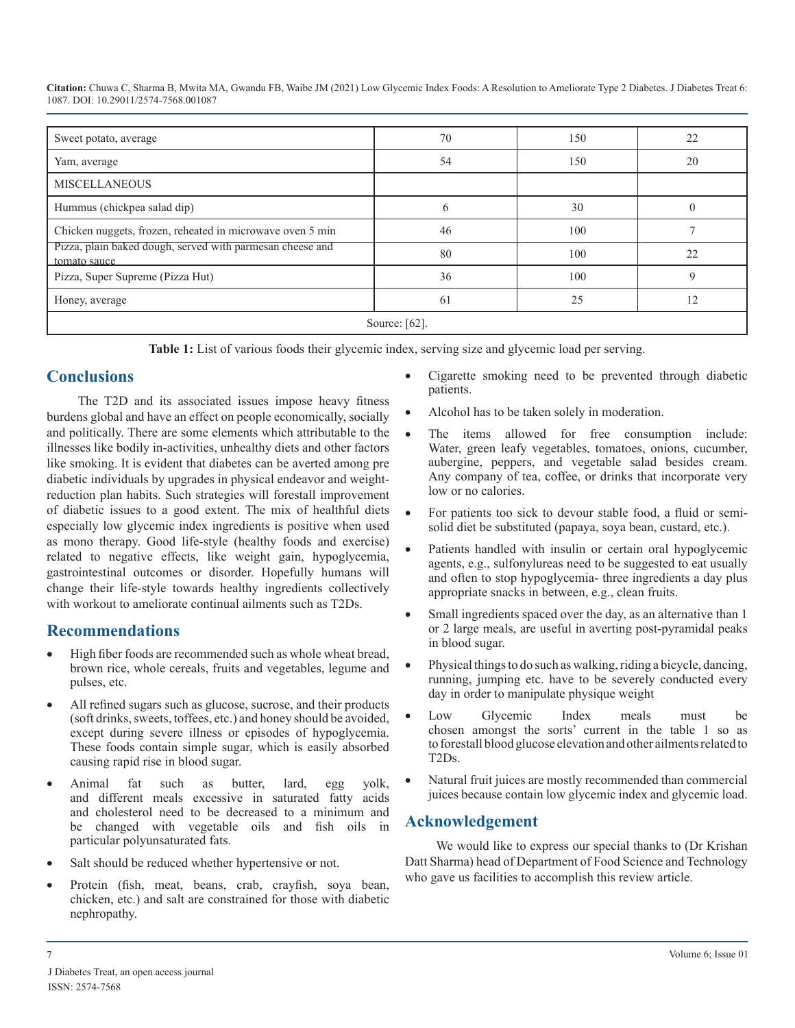| Sweet potato, average                                                     | 70 | 150 | 22 |
|---------------------------------------------------------------------------|----|-----|----|
| Yam, average                                                              | 54 | 150 | 20 |
| <b>MISCELLANEOUS</b>                                                      |    |     |    |
| Hummus (chickpea salad dip)                                               | 6  | 30  |    |
| Chicken nuggets, frozen, reheated in microwave oven 5 min                 | 46 | 100 |    |
| Pizza, plain baked dough, served with parmesan cheese and<br>tomato sauce | 80 | 100 | 22 |
| Pizza, Super Supreme (Pizza Hut)                                          | 36 | 100 | 9  |
| Honey, average                                                            | 61 | 25  | 12 |
| Source: $[62]$ .                                                          |    |     |    |

**Table 1:** List of various foods their glycemic index, serving size and glycemic load per serving.

### **Conclusions**

The T2D and its associated issues impose heavy fitness burdens global and have an effect on people economically, socially and politically. There are some elements which attributable to the illnesses like bodily in-activities, unhealthy diets and other factors like smoking. It is evident that diabetes can be averted among pre diabetic individuals by upgrades in physical endeavor and weightreduction plan habits. Such strategies will forestall improvement of diabetic issues to a good extent. The mix of healthful diets especially low glycemic index ingredients is positive when used as mono therapy. Good life-style (healthy foods and exercise) related to negative effects, like weight gain, hypoglycemia, gastrointestinal outcomes or disorder. Hopefully humans will change their life-style towards healthy ingredients collectively with workout to ameliorate continual ailments such as T2Ds.

# **Recommendations**

- High fiber foods are recommended such as whole wheat bread, brown rice, whole cereals, fruits and vegetables, legume and pulses, etc.
- All refined sugars such as glucose, sucrose, and their products (soft drinks, sweets, toffees, etc.) and honey should be avoided, except during severe illness or episodes of hypoglycemia. These foods contain simple sugar, which is easily absorbed causing rapid rise in blood sugar.
- • Animal fat such as butter, lard, egg yolk, and different meals excessive in saturated fatty acids and cholesterol need to be decreased to a minimum and be changed with vegetable oils and fish oils in particular polyunsaturated fats.
- Salt should be reduced whether hypertensive or not.
- Protein (fish, meat, beans, crab, crayfish, soya bean, chicken, etc.) and salt are constrained for those with diabetic nephropathy.
- Cigarette smoking need to be prevented through diabetic patients.
- Alcohol has to be taken solely in moderation.
- The items allowed for free consumption include: Water, green leafy vegetables, tomatoes, onions, cucumber, aubergine, peppers, and vegetable salad besides cream. Any company of tea, coffee, or drinks that incorporate very low or no calories.
- For patients too sick to devour stable food, a fluid or semisolid diet be substituted (papaya, soya bean, custard, etc.).
- Patients handled with insulin or certain oral hypoglycemic agents, e.g., sulfonylureas need to be suggested to eat usually and often to stop hypoglycemia- three ingredients a day plus appropriate snacks in between, e.g., clean fruits.
- Small ingredients spaced over the day, as an alternative than 1 or 2 large meals, are useful in averting post-pyramidal peaks in blood sugar.
- Physical things to do such as walking, riding a bicycle, dancing, running, jumping etc. have to be severely conducted every day in order to manipulate physique weight
- Low Glycemic Index meals must be chosen amongst the sorts' current in the table 1 so as to forestall blood glucose elevation and other ailmentsrelated to T2Ds.
- Natural fruit juices are mostly recommended than commercial juices because contain low glycemic index and glycemic load.

# **Acknowledgement**

We would like to express our special thanks to (Dr Krishan Datt Sharma) head of Department of Food Science and Technology who gave us facilities to accomplish this review article.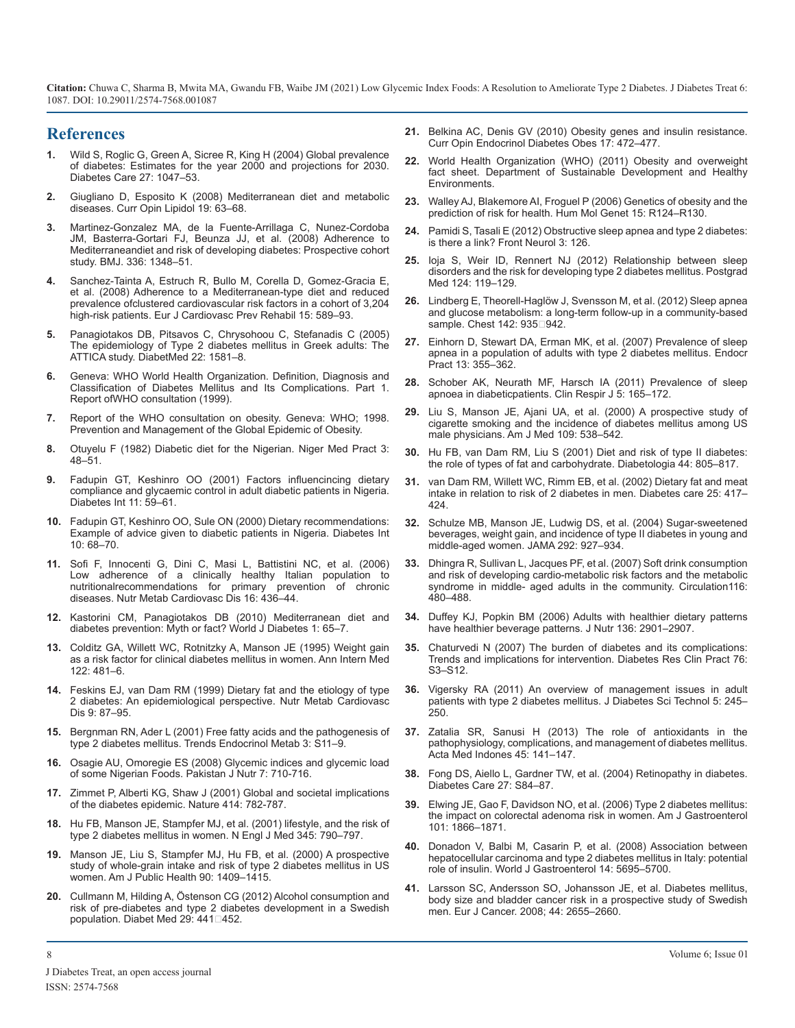#### **References**

- **1.** [Wild S, Roglic G, Green A, Sicree R, King H \(2004\) Global prevalence](https://pubmed.ncbi.nlm.nih.gov/15111519/)  [of diabetes: Estimates for the year 2000 and projections for 2030.](https://pubmed.ncbi.nlm.nih.gov/15111519/) [Diabetes Care 27: 1047–53.](https://pubmed.ncbi.nlm.nih.gov/15111519/)
- **2.** [Giugliano D, Esposito K \(2008\) Mediterranean diet and metabolic](https://pubmed.ncbi.nlm.nih.gov/18196989/)  [diseases. Curr Opin Lipidol 19: 63–68.](https://pubmed.ncbi.nlm.nih.gov/18196989/)
- **3.** [Martinez-Gonzalez MA, de la Fuente-Arrillaga C, Nunez-Cordoba](https://pubmed.ncbi.nlm.nih.gov/18511765/)  [JM, Basterra-Gortari FJ, Beunza JJ, et al. \(2008\) Adherence to](https://pubmed.ncbi.nlm.nih.gov/18511765/) [Mediterraneandiet and risk of developing diabetes: Prospective cohort](https://pubmed.ncbi.nlm.nih.gov/18511765/) [study. BMJ. 336: 1348–51.](https://pubmed.ncbi.nlm.nih.gov/18511765/)
- **4.** [Sanchez-Tainta A, Estruch R, Bullo M, Corella D, Gomez-Gracia E,](https://pubmed.ncbi.nlm.nih.gov/18830087/)  [et al. \(2008\) Adherence to a Mediterranean-type diet and reduced](https://pubmed.ncbi.nlm.nih.gov/18830087/)  [prevalence ofclustered cardiovascular risk factors in a cohort of 3,204](https://pubmed.ncbi.nlm.nih.gov/18830087/)  [high-risk patients. Eur J Cardiovasc Prev Rehabil 15: 589–93.](https://pubmed.ncbi.nlm.nih.gov/18830087/)
- **5.** [Panagiotakos DB, Pitsavos C, Chrysohoou C, Stefanadis C \(2005\)](https://pubmed.ncbi.nlm.nih.gov/16241925/)  [The epidemiology of Type 2 diabetes mellitus in Greek adults: The](https://pubmed.ncbi.nlm.nih.gov/16241925/)  [ATTICA study. DiabetMed 22: 1581–8.](https://pubmed.ncbi.nlm.nih.gov/16241925/)
- **6.** [Geneva: WHO World Health Organization. Definition, Diagnosis and](https://apps.who.int/iris/handle/10665/66040)  [Classification of Diabetes Mellitus and Its Complications. Part 1.](https://apps.who.int/iris/handle/10665/66040)  [Report ofWHO consultation \(1999\).](https://apps.who.int/iris/handle/10665/66040)
- **7.** Report of the WHO consultation on obesity. Geneva: WHO; 1998. Prevention and Management of the Global Epidemic of Obesity.
- **8.** Otuyelu F (1982) Diabetic diet for the Nigerian. Niger Med Pract 3: 48–51.
- **9.** Fadupin GT, Keshinro OO (2001) Factors influencincing dietary compliance and glycaemic control in adult diabetic patients in Nigeria. Diabetes Int 11: 59–61.
- **10.** Fadupin GT, Keshinro OO, Sule ON (2000) Dietary recommendations: Example of advice given to diabetic patients in Nigeria. Diabetes Int 10: 68–70.
- **11.** [Sofi F, Innocenti G, Dini C, Masi L, Battistini NC, et al. \(2006\)](https://pubmed.ncbi.nlm.nih.gov/16935702/)  [Low adherence of a clinically healthy Italian population to](https://pubmed.ncbi.nlm.nih.gov/16935702/)  [nutritionalrecommendations for primary prevention of chronic](https://pubmed.ncbi.nlm.nih.gov/16935702/)  [diseases. Nutr Metab Cardiovasc Dis 16: 436–44.](https://pubmed.ncbi.nlm.nih.gov/16935702/)
- **12.** [Kastorini CM, Panagiotakos DB \(2010\) Mediterranean diet and](https://www.ncbi.nlm.nih.gov/pmc/articles/PMC3083888/)  [diabetes prevention: Myth or fact? World J Diabetes 1: 65–7.](https://www.ncbi.nlm.nih.gov/pmc/articles/PMC3083888/)
- **13.** [Colditz GA, Willett WC, Rotnitzky A, Manson JE \(1995\) Weight gain](https://pubmed.ncbi.nlm.nih.gov/7872581/)  [as a risk factor for clinical diabetes mellitus in women. Ann Intern Med](https://pubmed.ncbi.nlm.nih.gov/7872581/)  [122: 481–6.](https://pubmed.ncbi.nlm.nih.gov/7872581/)
- **14.** [Feskins EJ, van Dam RM \(1999\) Dietary fat and the etiology of type](https://pubmed.ncbi.nlm.nih.gov/10726114/) [2 diabetes: An epidemiological perspective. Nutr Metab Cardiovasc](https://pubmed.ncbi.nlm.nih.gov/10726114/)  [Dis 9: 87–95.](https://pubmed.ncbi.nlm.nih.gov/10726114/)
- **15.** [Bergnman RN, Ader L \(2001\) Free fatty acids and the pathogenesis of](https://pubmed.ncbi.nlm.nih.gov/11042464/)  [type 2 diabetes mellitus. Trends Endocrinol Metab 3: S11–9.](https://pubmed.ncbi.nlm.nih.gov/11042464/)
- **16.** [Osagie AU, Omoregie ES \(2008\) Glycemic indices and glycemic load](https://www.researchgate.net/publication/26563798_Glycemic_Indices_and_Glycemic_Load_of_Some_Nigerian_Foods)  [of some Nigerian Foods. Pakistan J Nutr 7: 710-716.](https://www.researchgate.net/publication/26563798_Glycemic_Indices_and_Glycemic_Load_of_Some_Nigerian_Foods)
- **17.** [Zimmet P, Alberti KG, Shaw J \(2001\) Global and societal implications](https://pubmed.ncbi.nlm.nih.gov/11742409/)  [of the diabetes epidemic. Nature 414: 782-787.](https://pubmed.ncbi.nlm.nih.gov/11742409/)
- **18.** [Hu FB, Manson JE, Stampfer MJ, et al. \(2001\) lifestyle, and the risk of](https://pubmed.ncbi.nlm.nih.gov/11556298/)  [type 2 diabetes mellitus in women. N Engl J Med 345: 790–797.](https://pubmed.ncbi.nlm.nih.gov/11556298/)
- **19.** [Manson JE, Liu S, Stampfer MJ, Hu FB, et al. \(2000\) A prospective](https://pubmed.ncbi.nlm.nih.gov/10983198/)  [study of whole-grain intake and risk of type 2 diabetes mellitus in US](https://pubmed.ncbi.nlm.nih.gov/10983198/) [women. Am J Public Health 90: 1409–1415.](https://pubmed.ncbi.nlm.nih.gov/10983198/)
- **20.** [Cullmann M, Hilding A, Östenson CG \(2012\) Alcohol consumption and](https://pubmed.ncbi.nlm.nih.gov/21916972/#:~:text=Results%3A Total alcohol consumption and,%25 CI 0.22%2D0.79).)  [risk of pre-diabetes and type 2 diabetes development in a Swedish](https://pubmed.ncbi.nlm.nih.gov/21916972/#:~:text=Results%3A Total alcohol consumption and,%25 CI 0.22%2D0.79).)  population. Diabet Med 29: 441 1452.
- **21.** [Belkina AC, Denis GV \(2010\) Obesity genes and insulin resistance.](https://pubmed.ncbi.nlm.nih.gov/20585247/)  [Curr Opin Endocrinol Diabetes Obes 17: 472–477.](https://pubmed.ncbi.nlm.nih.gov/20585247/)
- **22.** World Health Organization (WHO) (2011) Obesity and overweight fact sheet. Department of Sustainable Development and Healthy **Environments**
- **23.** [Walley AJ, Blakemore AI, Froguel P \(2006\) Genetics of obesity and the](https://pubmed.ncbi.nlm.nih.gov/16987875/)  [prediction of risk for health. Hum Mol Genet 15: R124–R130.](https://pubmed.ncbi.nlm.nih.gov/16987875/)
- **24.** [Pamidi S, Tasali E \(2012\) Obstructive sleep apnea and type 2 diabetes:](https://pubmed.ncbi.nlm.nih.gov/23015803/#:~:text=An ever%2Dgrowing number of,OSA may alter glucose metabolism.)  [is there a link? Front Neurol 3: 126.](https://pubmed.ncbi.nlm.nih.gov/23015803/#:~:text=An ever%2Dgrowing number of,OSA may alter glucose metabolism.)
- **25.** [Ioja S, Weir ID, Rennert NJ \(2012\) Relationship between sleep](https://pubmed.ncbi.nlm.nih.gov/22913900/)  [disorders and the risk for developing type 2 diabetes mellitus. Postgrad](https://pubmed.ncbi.nlm.nih.gov/22913900/)  [Med 124: 119–129.](https://pubmed.ncbi.nlm.nih.gov/22913900/)
- **26.** [Lindberg E, Theorell-Haglöw J, Svensson M, et al. \(2012\) Sleep apnea](https://pubmed.ncbi.nlm.nih.gov/22499826/)  [and glucose metabolism: a long-term follow-up in a community-based](https://pubmed.ncbi.nlm.nih.gov/22499826/)  sample. Chest 142: 935□942.
- **27.** [Einhorn D, Stewart DA, Erman MK, et al. \(2007\) Prevalence of sleep](https://pubmed.ncbi.nlm.nih.gov/17669711/)  [apnea in a population of adults with type 2 diabetes mellitus. Endocr](https://pubmed.ncbi.nlm.nih.gov/17669711/)  [Pract 13: 355–362.](https://pubmed.ncbi.nlm.nih.gov/17669711/)
- **28.** [Schober AK, Neurath MF, Harsch IA \(2011\) Prevalence of sleep](https://pubmed.ncbi.nlm.nih.gov/21679352/) [apnoea in diabeticpatients. Clin Respir J 5: 165–172.](https://pubmed.ncbi.nlm.nih.gov/21679352/)
- **29.** [Liu S, Manson JE, Ajani UA, et al. \(2000\) A prospective study of](https://pubmed.ncbi.nlm.nih.gov/11063954/#:~:text=Smokers had a dose%2Ddependent,of %3C20 cigarettes per day%2C) [cigarette smoking and the incidence of diabetes mellitus among US](https://pubmed.ncbi.nlm.nih.gov/11063954/#:~:text=Smokers had a dose%2Ddependent,of %3C20 cigarettes per day%2C)  [male physicians. Am J Med 109: 538–542.](https://pubmed.ncbi.nlm.nih.gov/11063954/#:~:text=Smokers had a dose%2Ddependent,of %3C20 cigarettes per day%2C)
- **30.** [Hu FB, van Dam RM, Liu S \(2001\) Diet and risk of type II diabetes:](https://pubmed.ncbi.nlm.nih.gov/11508264/)  [the role of types of fat and carbohydrate. Diabetologia 44: 805–817](https://pubmed.ncbi.nlm.nih.gov/11508264/).
- **31.** [van Dam RM, Willett WC, Rimm EB, et al. \(2002\) Dietary fat and meat](https://pubmed.ncbi.nlm.nih.gov/11874924/#:~:text=Conclusions%3A Total and saturated fat,risk of type 2 diabetes.)  [intake in relation to risk of 2 diabetes in men. Diabetes care 25: 417–](https://pubmed.ncbi.nlm.nih.gov/11874924/#:~:text=Conclusions%3A Total and saturated fat,risk of type 2 diabetes.) [424](https://pubmed.ncbi.nlm.nih.gov/11874924/#:~:text=Conclusions%3A Total and saturated fat,risk of type 2 diabetes.).
- **32.** [Schulze MB, Manson JE, Ludwig DS, et al. \(2004\) Sugar-sweetened](https://pubmed.ncbi.nlm.nih.gov/15328324/)  [beverages, weight gain, and incidence of type II diabetes in young and](https://pubmed.ncbi.nlm.nih.gov/15328324/)  [middle-aged women. JAMA 292: 927–934.](https://pubmed.ncbi.nlm.nih.gov/15328324/)
- **33.** [Dhingra R, Sullivan L, Jacques PF, et al. \(2007\) Soft drink consumption](https://www.ahajournals.org/doi/full/10.1161/circulationaha.107.689935#:~:text=Consumption of %E2%89%A51 soft,1.05 to 1.48)%2C higher blood)  [and risk of developing cardio-metabolic risk factors and the metabolic](https://www.ahajournals.org/doi/full/10.1161/circulationaha.107.689935#:~:text=Consumption of %E2%89%A51 soft,1.05 to 1.48)%2C higher blood) [syndrome in middle- aged adults in the community. Circulation116:](https://www.ahajournals.org/doi/full/10.1161/circulationaha.107.689935#:~:text=Consumption of %E2%89%A51 soft,1.05 to 1.48)%2C higher blood)  [480–488.](https://www.ahajournals.org/doi/full/10.1161/circulationaha.107.689935#:~:text=Consumption of %E2%89%A51 soft,1.05 to 1.48)%2C higher blood)
- **34.** [Duffey KJ, Popkin BM \(2006\) Adults with healthier dietary patterns](https://pubmed.ncbi.nlm.nih.gov/17056820/)  [have healthier beverage patterns. J Nutr 136: 2901–2907.](https://pubmed.ncbi.nlm.nih.gov/17056820/)
- **35.** [Chaturvedi N \(2007\) The burden of diabetes and its complications:](https://pubmed.ncbi.nlm.nih.gov/17343954/)  [Trends and implications for intervention. Diabetes Res Clin Pract 76:](https://pubmed.ncbi.nlm.nih.gov/17343954/)  [S3–S12](https://pubmed.ncbi.nlm.nih.gov/17343954/).
- **36.** [Vigersky RA \(2011\) An overview of management issues in adult](https://pubmed.ncbi.nlm.nih.gov/21527089/)  [patients with type 2 diabetes mellitus. J Diabetes Sci Technol 5: 245–](https://pubmed.ncbi.nlm.nih.gov/21527089/) [250](https://pubmed.ncbi.nlm.nih.gov/21527089/).
- **37.** [Zatalia SR, Sanusi H \(2013\) The role of antioxidants in the](https://pubmed.ncbi.nlm.nih.gov/23770795/)  [pathophysiology, complications, and management of diabetes mellitus.](https://pubmed.ncbi.nlm.nih.gov/23770795/)  [Acta Med Indones 45: 141–147](https://pubmed.ncbi.nlm.nih.gov/23770795/).
- **38.** [Fong DS, Aiello L, Gardner TW, et al. \(2004\) Retinopathy in diabetes.](https://care.diabetesjournals.org/content/27/suppl_1/s84)  [Diabetes Care 27: S84–87](https://care.diabetesjournals.org/content/27/suppl_1/s84).
- **39.** [Elwing JE, Gao F, Davidson NO, et al. \(2006\) Type 2 diabetes mellitus:](https://pubmed.ncbi.nlm.nih.gov/16790036/)  [the impact on colorectal adenoma risk in women. Am J Gastroenterol](https://pubmed.ncbi.nlm.nih.gov/16790036/) [101: 1866–1871.](https://pubmed.ncbi.nlm.nih.gov/16790036/)
- **40.** [Donadon V, Balbi M, Casarin P, et al. \(2008\) Association between](https://pubmed.ncbi.nlm.nih.gov/18837086/)  [hepatocellular carcinoma and type 2 diabetes mellitus in Italy: potential](https://pubmed.ncbi.nlm.nih.gov/18837086/)  [role of insulin. World J Gastroenterol 14: 5695–5700.](https://pubmed.ncbi.nlm.nih.gov/18837086/)
- **41.** Larsson SC, Andersson SO, Johansson JE, et al. Diabetes mellitus, body size and bladder cancer risk in a prospective study of Swedish men. Eur J Cancer. 2008; 44: 2655–2660.